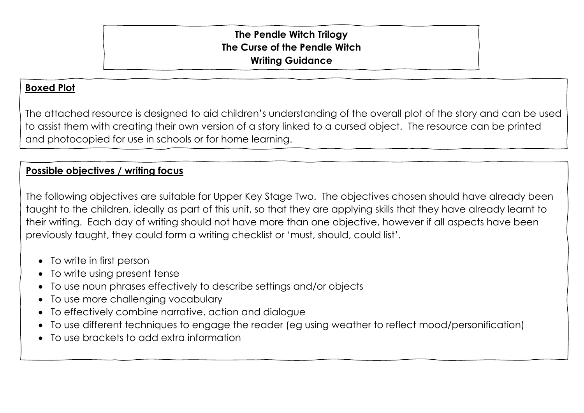## **The Pendle Witch Trilogy The Curse of the Pendle Witch Writing Guidance**

## **Boxed Plot**

The attached resource is designed to aid children's understanding of the overall plot of the story and can be used to assist them with creating their own version of a story linked to a cursed object. The resource can be printed and photocopied for use in schools or for home learning.

## **Possible objectives / writing focus**

The following objectives are suitable for Upper Key Stage Two. The objectives chosen should have already been taught to the children, ideally as part of this unit, so that they are applying skills that they have already learnt to their writing. Each day of writing should not have more than one objective, however if all aspects have been previously taught, they could form a writing checklist or 'must, should, could list'.

- To write in first person
- To write using present tense
- To use noun phrases effectively to describe settings and/or objects
- To use more challenging vocabulary
- To effectively combine narrative, action and dialogue
- To use different techniques to engage the reader (eg using weather to reflect mood/personification)
- To use brackets to add extra information